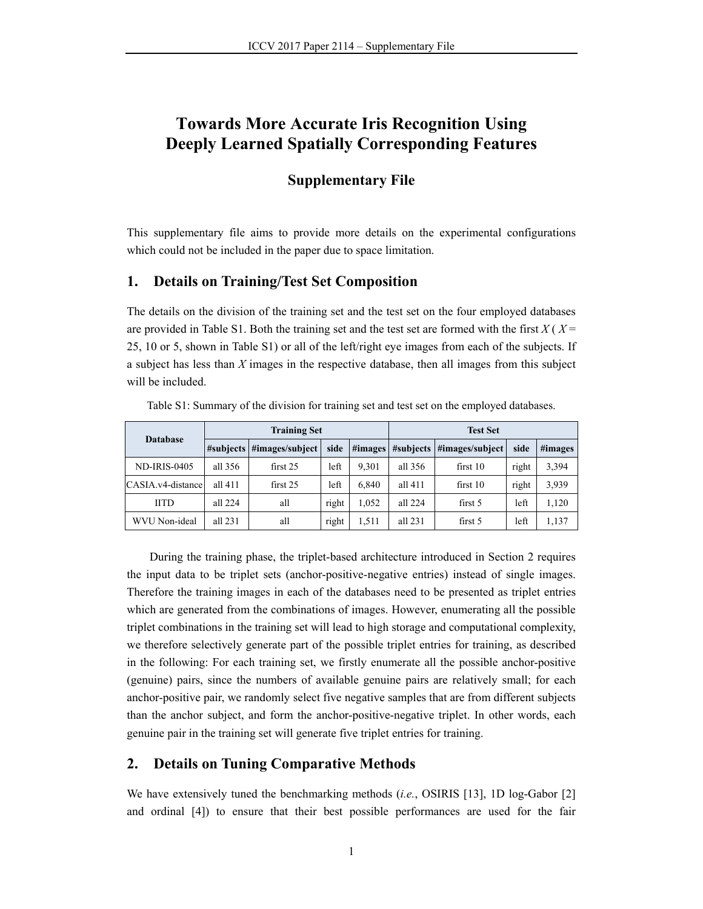# **Towards More Accurate Iris Recognition Using Deeply Learned Spatially Corresponding Features**

## **Supplementary File**

This supplementary file aims to provide more details on the experimental configurations which could not be included in the paper due to space limitation.

#### **1. Details on Training/Test Set Composition**

The details on the division of the training set and the test set on the four employed databases are provided in Table S1. Both the training set and the test set are formed with the first  $X(X)$ 25, 10 or 5, shown in Table S1) or all of the left/right eye images from each of the subjects. If a subject has less than *X* images in the respective database, then all images from this subject will be included.

| <b>Database</b>     | <b>Training Set</b> |                           |       |         | <b>Test Set</b> |                           |       |         |
|---------------------|---------------------|---------------------------|-------|---------|-----------------|---------------------------|-------|---------|
|                     |                     | #subjects #images/subject | side  | #images |                 | #subjects #images/subject | side  | #images |
| <b>ND-IRIS-0405</b> | all 356             | first 25                  | left  | 9.301   | all 356         | first 10                  | right | 3,394   |
| CASIA.v4-distance   | all 411             | first 25                  | left  | 6.840   | all 411         | first 10                  | right | 3,939   |
| <b>IITD</b>         | all 224             | all                       | right | 1.052   | all 224         | first 5                   | left  | 1,120   |
| WVU Non-ideal       | all $231$           | all                       | right | 1,511   | all 231         | first 5                   | left  | 1,137   |

Table S1: Summary of the division for training set and test set on the employed databases.

During the training phase, the triplet-based architecture introduced in Section 2 requires the input data to be triplet sets (anchor-positive-negative entries) instead of single images. Therefore the training images in each of the databases need to be presented as triplet entries which are generated from the combinations of images. However, enumerating all the possible triplet combinations in the training set will lead to high storage and computational complexity, we therefore selectively generate part of the possible triplet entries for training, as described in the following: For each training set, we firstly enumerate all the possible anchor-positive (genuine) pairs, since the numbers of available genuine pairs are relatively small; for each anchor-positive pair, we randomly select five negative samples that are from different subjects than the anchor subject, and form the anchor-positive-negative triplet. In other words, each genuine pair in the training set will generate five triplet entries for training.

## **2. Details on Tuning Comparative Methods**

We have extensively tuned the benchmarking methods (*i.e.*, OSIRIS [13], 1D log-Gabor [2] and ordinal [4]) to ensure that their best possible performances are used for the fair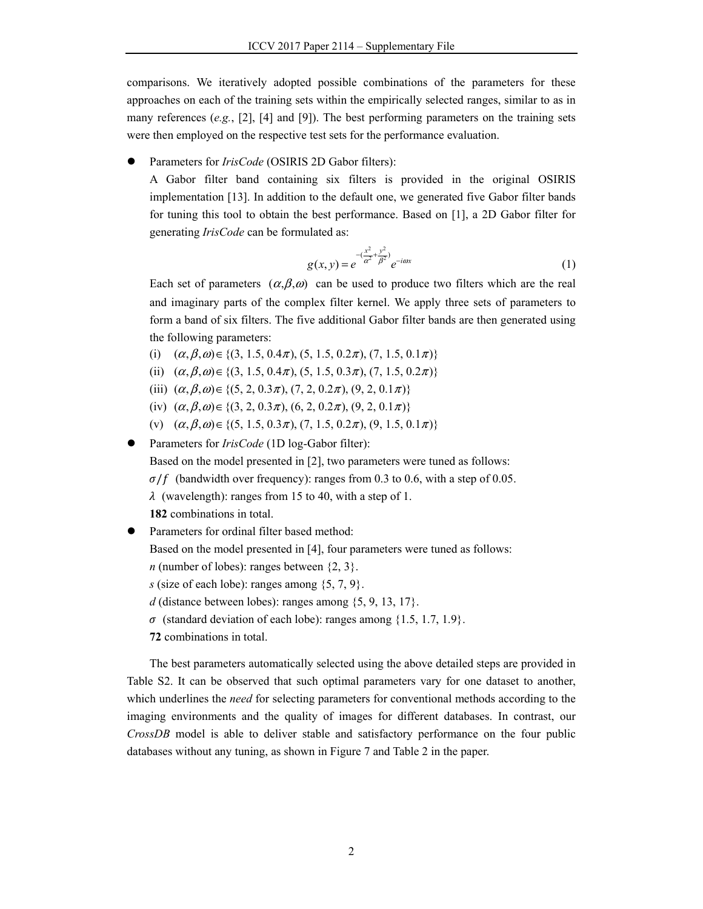comparisons. We iteratively adopted possible combinations of the parameters for these approaches on each of the training sets within the empirically selected ranges, similar to as in many references (*e.g.*, [2], [4] and [9]). The best performing parameters on the training sets were then employed on the respective test sets for the performance evaluation.

Parameters for *IrisCode* (OSIRIS 2D Gabor filters):

A Gabor filter band containing six filters is provided in the original OSIRIS implementation [13]. In addition to the default one, we generated five Gabor filter bands for tuning this tool to obtain the best performance. Based on [1], a 2D Gabor filter for generating *IrisCode* can be formulated as:

$$
g(x, y) = e^{-\left(\frac{x^2}{\alpha^2} + \frac{y^2}{\beta^2}\right)} e^{-i\omega x}
$$
 (1)

Each set of parameters  $(\alpha,\beta,\omega)$  can be used to produce two filters which are the real and imaginary parts of the complex filter kernel. We apply three sets of parameters to form a band of six filters. The five additional Gabor filter bands are then generated using the following parameters:

- (i)  $(\alpha, \beta, \omega) \in \{(3, 1.5, 0.4\pi), (5, 1.5, 0.2\pi), (7, 1.5, 0.1\pi)\}\$
- (ii)  $(\alpha, \beta, \omega) \in \{(3, 1.5, 0.4\pi), (5, 1.5, 0.3\pi), (7, 1.5, 0.2\pi)\}\$
- (iii)  $(\alpha, \beta, \omega) \in \{(5, 2, 0.3\pi), (7, 2, 0.2\pi), (9, 2, 0.1\pi)\}\$
- (iv)  $(\alpha, \beta, \omega) \in \{(3, 2, 0.3\pi), (6, 2, 0.2\pi), (9, 2, 0.1\pi)\}\$
- (v)  $(\alpha, \beta, \omega) \in \{(5, 1.5, 0.3\pi), (7, 1.5, 0.2\pi), (9, 1.5, 0.1\pi)\}\$

Parameters for *IrisCode* (1D log-Gabor filter):

Based on the model presented in [2], two parameters were tuned as follows:

 $\sigma/f$  (bandwidth over frequency): ranges from 0.3 to 0.6, with a step of 0.05.

 $\lambda$  (wavelength): ranges from 15 to 40, with a step of 1.

**182** combinations in total.

Parameters for ordinal filter based method:

Based on the model presented in [4], four parameters were tuned as follows:

*n* (number of lobes): ranges between  $\{2, 3\}$ .

*s* (size of each lobe): ranges among  $\{5, 7, 9\}$ .

*d* (distance between lobes): ranges among  $\{5, 9, 13, 17\}$ .

- $\sigma$  (standard deviation of each lobe): ranges among  $\{1.5, 1.7, 1.9\}$ .
- **72** combinations in total.

The best parameters automatically selected using the above detailed steps are provided in Table S2. It can be observed that such optimal parameters vary for one dataset to another, which underlines the *need* for selecting parameters for conventional methods according to the imaging environments and the quality of images for different databases. In contrast, our *CrossDB* model is able to deliver stable and satisfactory performance on the four public databases without any tuning, as shown in Figure 7 and Table 2 in the paper.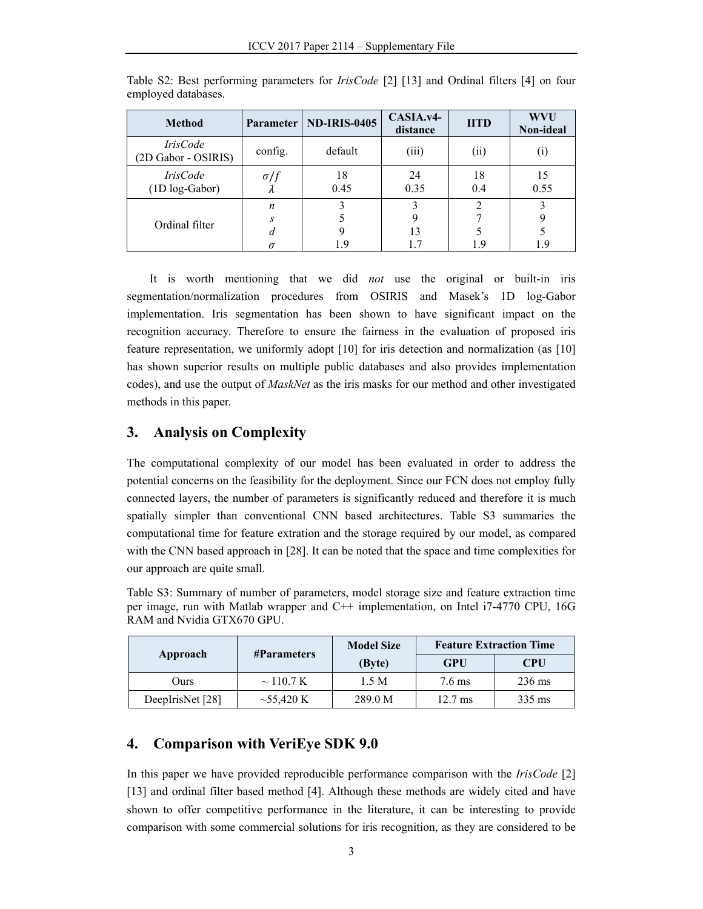| <b>Method</b>                          |                         | Parameter   ND-IRIS-0405 | CASIA.v4-<br>distance | <b>IITD</b>    | <b>WVU</b><br>Non-ideal |
|----------------------------------------|-------------------------|--------------------------|-----------------------|----------------|-------------------------|
| <i>IrisCode</i><br>(2D Gabor - OSIRIS) | config.                 | default                  | (iii)                 | (i)            |                         |
| <i>IrisCode</i><br>(1D log-Gabor)      | $\sigma/f$<br>$\lambda$ | 18<br>0.45               | 24<br>0.35            | 18<br>0.4      | 0.55                    |
|                                        | n                       |                          |                       | $\overline{2}$ |                         |
| Ordinal filter                         | S.                      |                          | 9                     |                |                         |
|                                        | d                       |                          | 13                    |                |                         |
|                                        | σ                       | 19                       |                       | 1.9            |                         |

Table S2: Best performing parameters for *IrisCode* [2] [13] and Ordinal filters [4] on four employed databases.

It is worth mentioning that we did *not* use the original or built-in iris segmentation/normalization procedures from OSIRIS and Masek's 1D log-Gabor implementation. Iris segmentation has been shown to have significant impact on the recognition accuracy. Therefore to ensure the fairness in the evaluation of proposed iris feature representation, we uniformly adopt [10] for iris detection and normalization (as [10] has shown superior results on multiple public databases and also provides implementation codes), and use the output of *MaskNet* as the iris masks for our method and other investigated methods in this paper.

## **3. Analysis on Complexity**

The computational complexity of our model has been evaluated in order to address the potential concerns on the feasibility for the deployment. Since our FCN does not employ fully connected layers, the number of parameters is significantly reduced and therefore it is much spatially simpler than conventional CNN based architectures. Table S3 summaries the computational time for feature extration and the storage required by our model, as compared with the CNN based approach in [28]. It can be noted that the space and time complexities for our approach are quite small.

Table S3: Summary of number of parameters, model storage size and feature extraction time per image, run with Matlab wrapper and C++ implementation, on Intel i7-4770 CPU, 16G RAM and Nvidia GTX670 GPU.

|                  |                    | <b>Model Size</b> | <b>Feature Extraction Time</b> |                  |  |
|------------------|--------------------|-------------------|--------------------------------|------------------|--|
| Approach         | <b>#Parameters</b> | (Byte)            | GPU                            | <b>CPU</b>       |  |
| Ours             | $\sim$ 110.7 K     | 1.5 M             | $7.6 \text{ ms}$               | $236 \text{ ms}$ |  |
| DeepIrisNet [28] | $\sim$ 55,420 K    | 289.0 M           | $12.7 \text{ ms}$              | $335 \text{ ms}$ |  |

# **4. Comparison with VeriEye SDK 9.0**

In this paper we have provided reproducible performance comparison with the *IrisCode* [2] [13] and ordinal filter based method [4]. Although these methods are widely cited and have shown to offer competitive performance in the literature, it can be interesting to provide comparison with some commercial solutions for iris recognition, as they are considered to be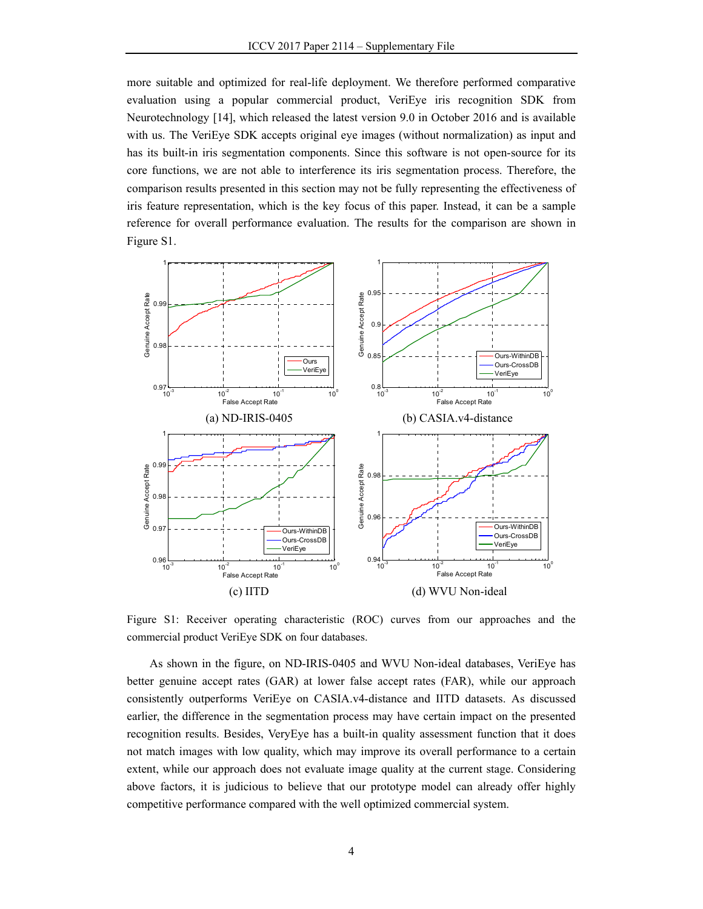more suitable and optimized for real-life deployment. We therefore performed comparative evaluation using a popular commercial product, VeriEye iris recognition SDK from Neurotechnology [14], which released the latest version 9.0 in October 2016 and is available with us. The VeriEye SDK accepts original eye images (without normalization) as input and has its built-in iris segmentation components. Since this software is not open-source for its core functions, we are not able to interference its iris segmentation process. Therefore, the comparison results presented in this section may not be fully representing the effectiveness of iris feature representation, which is the key focus of this paper. Instead, it can be a sample reference for overall performance evaluation. The results for the comparison are shown in Figure S1.



Figure S1: Receiver operating characteristic (ROC) curves from our approaches and the commercial product VeriEye SDK on four databases.

As shown in the figure, on ND-IRIS-0405 and WVU Non-ideal databases, VeriEye has better genuine accept rates (GAR) at lower false accept rates (FAR), while our approach consistently outperforms VeriEye on CASIA.v4-distance and IITD datasets. As discussed earlier, the difference in the segmentation process may have certain impact on the presented recognition results. Besides, VeryEye has a built-in quality assessment function that it does not match images with low quality, which may improve its overall performance to a certain extent, while our approach does not evaluate image quality at the current stage. Considering above factors, it is judicious to believe that our prototype model can already offer highly competitive performance compared with the well optimized commercial system.